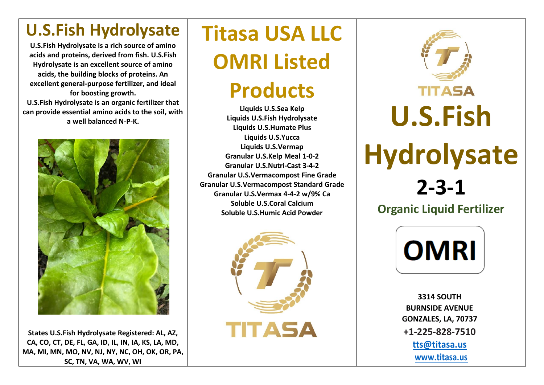## **U.S.Fish Hydrolysate**

**U.S.Fish Hydrolysate is a rich source of amino acids and proteins, derived from fish. U.S.Fish Hydrolysate is an excellent source of amino acids, the building blocks of proteins. An excellent general-purpose fertilizer, and ideal for boosting growth. U.S.Fish Hydrolysate is an organic fertilizer that** 

**can provide essential amino acids to the soil, with a well balanced N-P-K.** 



**States U.S.Fish Hydrolysate Registered: AL, AZ, CA, CO, CT, DE, FL, GA, ID, IL, IN, IA, KS, LA, MD, MA, MI, MN, MO, NV, NJ, NY, NC, OH, OK, OR, PA, SC, TN, VA, WA, WV, WI**

## **Titasa USA LLC OMRI Listed**

## **Products**

**Liquids U.S.Sea Kelp Liquids U.S.Fish Hydrolysate Liquids U.S.Humate Plus Liquids U.S.Yucca Liquids U.S.Vermap Granular U.S.Kelp Meal 1-0-2 Granular U.S.Nutri-Cast 3-4-2 Granular U.S.Vermacompost Fine Grade Granular U.S.Vermacompost Standard Grade Granular U.S.Vermax 4-4-2 w/9% Ca Soluble U.S.Coral Calcium Soluble U.S.Humic Acid Powder**





**OMRI** 

**3314 SOUTH BURNSIDE AVENUE GONZALES, LA, 70737 +1-225-828-7510 [tts@titasa.u](mailto:tts@titasa.)s [www.titasa.u](http://www.titasa./)s**